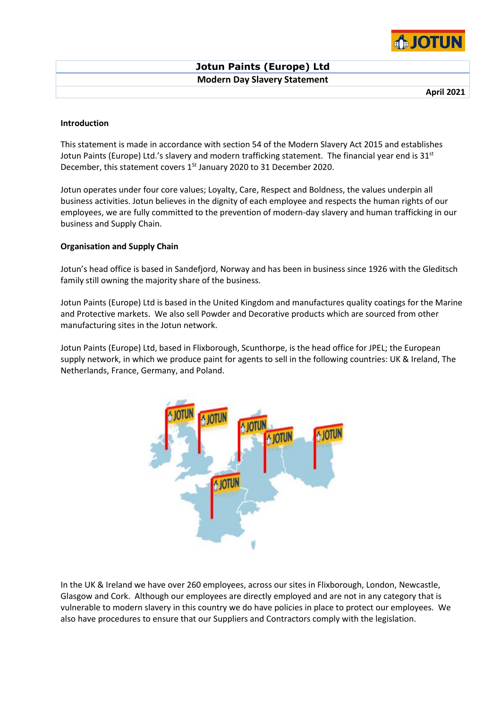

**April 2021**

## **Introduction**

This statement is made in accordance with section 54 of the Modern Slavery Act 2015 and establishes Jotun Paints (Europe) Ltd.'s slavery and modern trafficking statement. The financial year end is 31<sup>st</sup> December, this statement covers  $1<sup>St</sup>$  January 2020 to 31 December 2020.

Jotun operates under four core values; Loyalty, Care, Respect and Boldness, the values underpin all business activities. Jotun believes in the dignity of each employee and respects the human rights of our employees, we are fully committed to the prevention of modern-day slavery and human trafficking in our business and Supply Chain.

# **Organisation and Supply Chain**

Jotun's head office is based in Sandefjord, Norway and has been in business since 1926 with the Gleditsch family still owning the majority share of the business.

Jotun Paints (Europe) Ltd is based in the United Kingdom and manufactures quality coatings for the Marine and Protective markets. We also sell Powder and Decorative products which are sourced from other manufacturing sites in the Jotun network.

Jotun Paints (Europe) Ltd, based in Flixborough, Scunthorpe, is the head office for JPEL; the European supply network, in which we produce paint for agents to sell in the following countries: UK & Ireland, The Netherlands, France, Germany, and Poland.



In the UK & Ireland we have over 260 employees, across our sites in Flixborough, London, Newcastle, Glasgow and Cork. Although our employees are directly employed and are not in any category that is vulnerable to modern slavery in this country we do have policies in place to protect our employees. We also have procedures to ensure that our Suppliers and Contractors comply with the legislation.